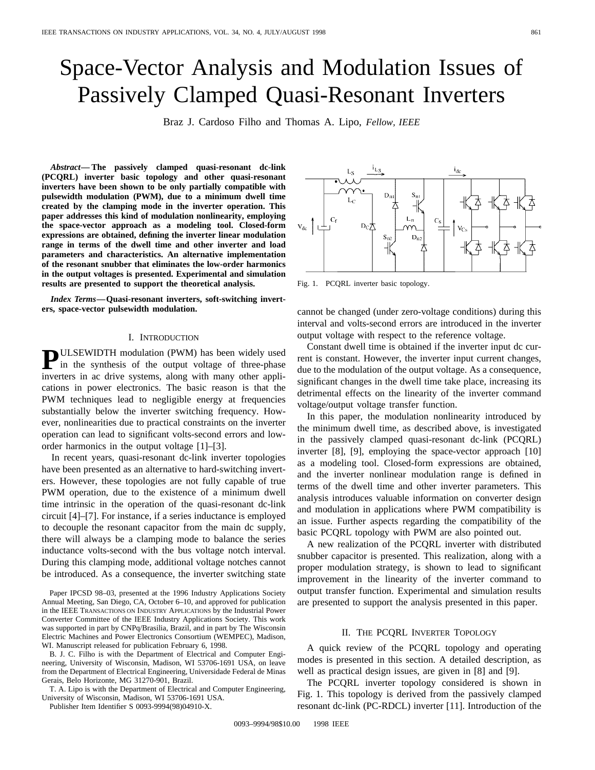# Space-Vector Analysis and Modulation Issues of Passively Clamped Quasi-Resonant Inverters

Braz J. Cardoso Filho and Thomas A. Lipo, *Fellow, IEEE*

*Abstract—* **The passively clamped quasi-resonant dc-link (PCQRL) inverter basic topology and other quasi-resonant inverters have been shown to be only partially compatible with pulsewidth modulation (PWM), due to a minimum dwell time created by the clamping mode in the inverter operation. This paper addresses this kind of modulation nonlinearity, employing the space-vector approach as a modeling tool. Closed-form expressions are obtained, defining the inverter linear modulation range in terms of the dwell time and other inverter and load parameters and characteristics. An alternative implementation of the resonant snubber that eliminates the low-order harmonics in the output voltages is presented. Experimental and simulation results are presented to support the theoretical analysis.**

*Index Terms—***Quasi-resonant inverters, soft-switching inverters, space-vector pulsewidth modulation.**

# I. INTRODUCTION

**PULSEWIDTH** modulation (PWM) has been widely used in the synthesis of the output voltage of three-phase inverters in ac drive systems, along with many other applications in power electronics. The basic reason is that the PWM techniques lead to negligible energy at frequencies substantially below the inverter switching frequency. However, nonlinearities due to practical constraints on the inverter operation can lead to significant volts-second errors and loworder harmonics in the output voltage [1]–[3].

In recent years, quasi-resonant dc-link inverter topologies have been presented as an alternative to hard-switching inverters. However, these topologies are not fully capable of true PWM operation, due to the existence of a minimum dwell time intrinsic in the operation of the quasi-resonant dc-link circuit [4]–[7]. For instance, if a series inductance is employed to decouple the resonant capacitor from the main dc supply, there will always be a clamping mode to balance the series inductance volts-second with the bus voltage notch interval. During this clamping mode, additional voltage notches cannot be introduced. As a consequence, the inverter switching state

Paper IPCSD 98–03, presented at the 1996 Industry Applications Society Annual Meeting, San Diego, CA, October 6–10, and approved for publication in the IEEE TRANSACTIONS ON INDUSTRY APPLICATIONS by the Industrial Power Converter Committee of the IEEE Industry Applications Society. This work was supported in part by CNPq/Brasilia, Brazil, and in part by The Wisconsin Electric Machines and Power Electronics Consortium (WEMPEC), Madison, WI. Manuscript released for publication February 6, 1998.

B. J. C. Filho is with the Department of Electrical and Computer Engineering, University of Wisconsin, Madison, WI 53706-1691 USA, on leave from the Department of Electrical Engineering, Universidade Federal de Minas Gerais, Belo Horizonte, MG 31270-901, Brazil.

T. A. Lipo is with the Department of Electrical and Computer Engineering, University of Wisconsin, Madison, WI 53706-1691 USA.

Publisher Item Identifier S 0093-9994(98)04910-X.

 $D_{n}$  $S_{\rm BI}$  $L_{C}$  $L_n$  $D_{C}\nabla$  $V_{dc}$ m  $\mathbf{D}_{\mathbf{n}2}$  $S_{02}$ 

<sup>i</sup>de

Fig. 1. PCQRL inverter basic topology.

 $\frac{1}{2}$ 

cannot be changed (under zero-voltage conditions) during this interval and volts-second errors are introduced in the inverter output voltage with respect to the reference voltage.

Constant dwell time is obtained if the inverter input dc current is constant. However, the inverter input current changes, due to the modulation of the output voltage. As a consequence, significant changes in the dwell time take place, increasing its detrimental effects on the linearity of the inverter command voltage/output voltage transfer function.

In this paper, the modulation nonlinearity introduced by the minimum dwell time, as described above, is investigated in the passively clamped quasi-resonant dc-link (PCQRL) inverter [8], [9], employing the space-vector approach [10] as a modeling tool. Closed-form expressions are obtained, and the inverter nonlinear modulation range is defined in terms of the dwell time and other inverter parameters. This analysis introduces valuable information on converter design and modulation in applications where PWM compatibility is an issue. Further aspects regarding the compatibility of the basic PCQRL topology with PWM are also pointed out.

A new realization of the PCQRL inverter with distributed snubber capacitor is presented. This realization, along with a proper modulation strategy, is shown to lead to significant improvement in the linearity of the inverter command to output transfer function. Experimental and simulation results are presented to support the analysis presented in this paper.

### II. THE PCQRL INVERTER TOPOLOGY

A quick review of the PCQRL topology and operating modes is presented in this section. A detailed description, as well as practical design issues, are given in [8] and [9].

The PCQRL inverter topology considered is shown in Fig. 1. This topology is derived from the passively clamped resonant dc-link (PC-RDCL) inverter [11]. Introduction of the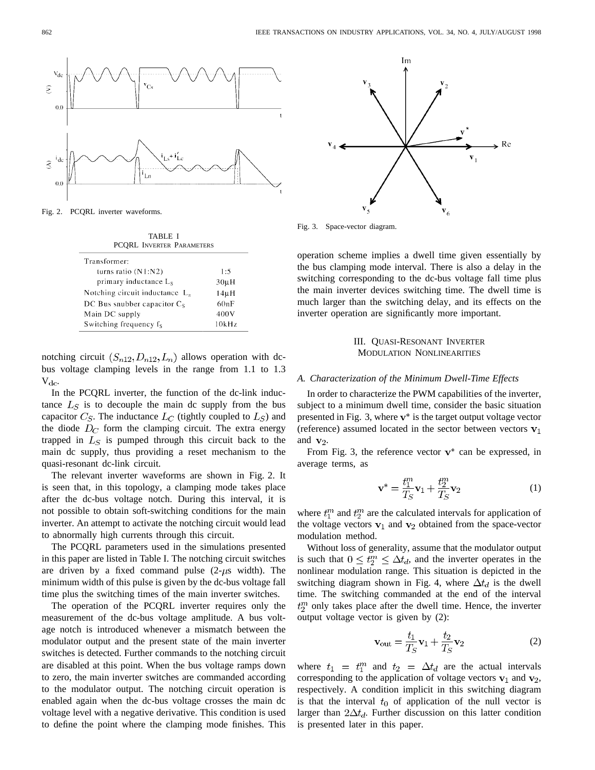

Fig. 2. PCQRL inverter waveforms.

| <b>TABLE I</b>                   |  |  |  |
|----------------------------------|--|--|--|
| <b>PCORL INVERTER PARAMETERS</b> |  |  |  |

| Transformer:                      |           |
|-----------------------------------|-----------|
| turns ratio $(N1:N2)$             | 1:5       |
| primary inductance $L_s$          | $30\mu H$ |
| Notching circuit inductance $L_n$ | 14uH      |
| DC Bus snubber capacitor $C_s$    | 60nF      |
| Main DC supply                    | 400V      |
| Switching frequency fs            | 10kHz     |

notching circuit  $(S_{n12}, D_{n12}, L_n)$  allows operation with dcbus voltage clamping levels in the range from 1.1 to 1.3  $V_{\text{dc}}$ 

In the PCQRL inverter, the function of the dc-link inductance  $L<sub>S</sub>$  is to decouple the main dc supply from the bus capacitor  $C_S$ . The inductance  $L_C$  (tightly coupled to  $L_S$ ) and the diode  $D<sub>C</sub>$  form the clamping circuit. The extra energy trapped in  $L<sub>S</sub>$  is pumped through this circuit back to the main dc supply, thus providing a reset mechanism to the quasi-resonant dc-link circuit.

The relevant inverter waveforms are shown in Fig. 2. It is seen that, in this topology, a clamping mode takes place after the dc-bus voltage notch. During this interval, it is not possible to obtain soft-switching conditions for the main inverter. An attempt to activate the notching circuit would lead to abnormally high currents through this circuit.

The PCQRL parameters used in the simulations presented in this paper are listed in Table I. The notching circuit switches are driven by a fixed command pulse  $(2-\mu s \text{ width})$ . The minimum width of this pulse is given by the dc-bus voltage fall time plus the switching times of the main inverter switches.

The operation of the PCQRL inverter requires only the measurement of the dc-bus voltage amplitude. A bus voltage notch is introduced whenever a mismatch between the modulator output and the present state of the main inverter switches is detected. Further commands to the notching circuit are disabled at this point. When the bus voltage ramps down to zero, the main inverter switches are commanded according to the modulator output. The notching circuit operation is enabled again when the dc-bus voltage crosses the main dc voltage level with a negative derivative. This condition is used to define the point where the clamping mode finishes. This



Fig. 3. Space-vector diagram.

operation scheme implies a dwell time given essentially by the bus clamping mode interval. There is also a delay in the switching corresponding to the dc-bus voltage fall time plus the main inverter devices switching time. The dwell time is much larger than the switching delay, and its effects on the inverter operation are significantly more important.

# III. QUASI-RESONANT INVERTER MODULATION NONLINEARITIES

## *A. Characterization of the Minimum Dwell-Time Effects*

In order to characterize the PWM capabilities of the inverter, subject to a minimum dwell time, consider the basic situation presented in Fig. 3, where  $v^*$  is the target output voltage vector (reference) assumed located in the sector between vectors  $v_1$ and  $\mathbf{v}_2$ .

From Fig. 3, the reference vector  $v^*$  can be expressed, in average terms, as

$$
\mathbf{v}^* = \frac{t_1^m}{T_S} \mathbf{v}_1 + \frac{t_2^m}{T_S} \mathbf{v}_2 \tag{1}
$$

where  $t_1^m$  and  $t_2^m$  are the calculated intervals for application of the voltage vectors  $v_1$  and  $v_2$  obtained from the space-vector modulation method.

Without loss of generality, assume that the modulator output is such that  $0 \leq t_2^m \leq \Delta t_d$ , and the inverter operates in the nonlinear modulation range. This situation is depicted in the switching diagram shown in Fig. 4, where  $\Delta t_d$  is the dwell time. The switching commanded at the end of the interval  $t_2^m$  only takes place after the dwell time. Hence, the inverter output voltage vector is given by (2):

$$
\mathbf{v}_{\text{out}} = \frac{t_1}{T_S} \mathbf{v}_1 + \frac{t_2}{T_S} \mathbf{v}_2 \tag{2}
$$

where  $t_1 = t_1^m$  and  $t_2 = \Delta t_d$  are the actual intervals corresponding to the application of voltage vectors  $v_1$  and  $v_2$ , respectively. A condition implicit in this switching diagram is that the interval  $t_0$  of application of the null vector is larger than  $2\Delta t_d$ . Further discussion on this latter condition is presented later in this paper.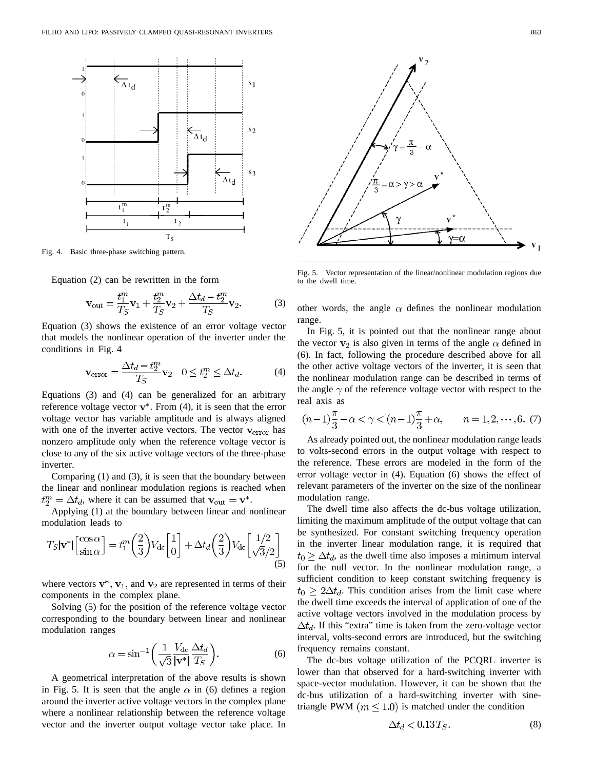

Fig. 4. Basic three-phase switching pattern.

Equation (2) can be rewritten in the form

$$
\mathbf{v}_{\text{out}} = \frac{t_1^m}{T_S} \mathbf{v}_1 + \frac{t_2^m}{T_S} \mathbf{v}_2 + \frac{\Delta t_d - t_2^m}{T_S} \mathbf{v}_2.
$$
 (3)

Equation (3) shows the existence of an error voltage vector that models the nonlinear operation of the inverter under the conditions in Fig. 4

$$
\mathbf{v}_{\text{error}} = \frac{\Delta t_d - t_2^m}{T_S} \mathbf{v}_2 \quad 0 \le t_2^m \le \Delta t_d. \tag{4}
$$

Equations (3) and (4) can be generalized for an arbitrary reference voltage vector  $v^*$ . From (4), it is seen that the error voltage vector has variable amplitude and is always aligned with one of the inverter active vectors. The vector  $v_{error}$  has nonzero amplitude only when the reference voltage vector is close to any of the six active voltage vectors of the three-phase inverter.

Comparing (1) and (3), it is seen that the boundary between the linear and nonlinear modulation regions is reached when  $t_2^m = \Delta t_d$ , where it can be assumed that  $\mathbf{v}_{\text{out}} = \mathbf{v}^*$ .

Applying (1) at the boundary between linear and nonlinear modulation leads to

$$
T_S|\mathbf{v}^*| \begin{bmatrix} \cos \alpha \\ \sin \alpha \end{bmatrix} = t_1^m \left(\frac{2}{3}\right) V_{\text{dc}} \begin{bmatrix} 1 \\ 0 \end{bmatrix} + \Delta t_d \left(\frac{2}{3}\right) V_{\text{dc}} \begin{bmatrix} 1/2 \\ \sqrt{3}/2 \end{bmatrix}
$$
(5)

where vectors  $\mathbf{v}^*$ ,  $\mathbf{v}_1$ , and  $\mathbf{v}_2$  are represented in terms of their components in the complex plane.

Solving (5) for the position of the reference voltage vector corresponding to the boundary between linear and nonlinear modulation ranges

$$
\alpha = \sin^{-1}\left(\frac{1}{\sqrt{3}} \frac{V_{dc}}{|v^*|} \frac{\Delta t_d}{T_S}\right).
$$
 (6)

A geometrical interpretation of the above results is shown in Fig. 5. It is seen that the angle  $\alpha$  in (6) defines a region around the inverter active voltage vectors in the complex plane where a nonlinear relationship between the reference voltage vector and the inverter output voltage vector take place. In



Fig. 5. Vector representation of the linear/nonlinear modulation regions due to the dwell time.

other words, the angle  $\alpha$  defines the nonlinear modulation range.

In Fig. 5, it is pointed out that the nonlinear range about the vector  $\mathbf{v}_2$  is also given in terms of the angle  $\alpha$  defined in (6). In fact, following the procedure described above for all the other active voltage vectors of the inverter, it is seen that the nonlinear modulation range can be described in terms of the angle  $\gamma$  of the reference voltage vector with respect to the real axis as

$$
(n-1)\frac{\pi}{3} - \alpha < \gamma < (n-1)\frac{\pi}{3} + \alpha, \qquad n = 1, 2, \dots, 6. \tag{7}
$$

As already pointed out, the nonlinear modulation range leads to volts-second errors in the output voltage with respect to the reference. These errors are modeled in the form of the error voltage vector in (4). Equation (6) shows the effect of relevant parameters of the inverter on the size of the nonlinear modulation range.

The dwell time also affects the dc-bus voltage utilization, limiting the maximum amplitude of the output voltage that can be synthesized. For constant switching frequency operation in the inverter linear modulation range, it is required that  $t_0 \geq \Delta t_d$ , as the dwell time also imposes a minimum interval for the null vector. In the nonlinear modulation range, a sufficient condition to keep constant switching frequency is  $t_0 \geq 2\Delta t_d$ . This condition arises from the limit case where the dwell time exceeds the interval of application of one of the active voltage vectors involved in the modulation process by  $\Delta t_d$ . If this "extra" time is taken from the zero-voltage vector interval, volts-second errors are introduced, but the switching frequency remains constant.

The dc-bus voltage utilization of the PCQRL inverter is lower than that observed for a hard-switching inverter with space-vector modulation. However, it can be shown that the dc-bus utilization of a hard-switching inverter with sinetriangle PWM ( $m \leq 1.0$ ) is matched under the condition

$$
\Delta t_d < 0.13 \, T_S. \tag{8}
$$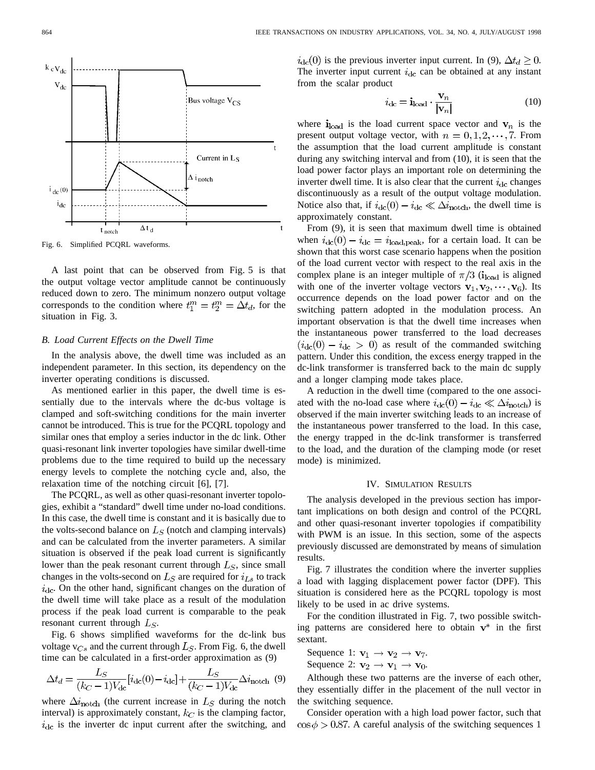

Fig. 6. Simplified PCQRL waveforms.

A last point that can be observed from Fig. 5 is that the output voltage vector amplitude cannot be continuously reduced down to zero. The minimum nonzero output voltage corresponds to the condition where  $t_1^m = t_2^m = \Delta t_d$ , for the situation in Fig. 3.

#### *B. Load Current Effects on the Dwell Time*

In the analysis above, the dwell time was included as an independent parameter. In this section, its dependency on the inverter operating conditions is discussed.

As mentioned earlier in this paper, the dwell time is essentially due to the intervals where the dc-bus voltage is clamped and soft-switching conditions for the main inverter cannot be introduced. This is true for the PCQRL topology and similar ones that employ a series inductor in the dc link. Other quasi-resonant link inverter topologies have similar dwell-time problems due to the time required to build up the necessary energy levels to complete the notching cycle and, also, the relaxation time of the notching circuit [6], [7].

The PCQRL, as well as other quasi-resonant inverter topologies, exhibit a "standard" dwell time under no-load conditions. In this case, the dwell time is constant and it is basically due to the volts-second balance on  $L<sub>S</sub>$  (notch and clamping intervals) and can be calculated from the inverter parameters. A similar situation is observed if the peak load current is significantly lower than the peak resonant current through  $L<sub>S</sub>$ , since small changes in the volts-second on  $L<sub>S</sub>$  are required for  $i<sub>L</sub>$  to track  $i_{\text{dc}}$ . On the other hand, significant changes on the duration of the dwell time will take place as a result of the modulation process if the peak load current is comparable to the peak resonant current through  $L<sub>S</sub>$ .

Fig. 6 shows simplified waveforms for the dc-link bus voltage  $v_{Cs}$  and the current through  $L_S$ . From Fig. 6, the dwell time can be calculated in a first-order approximation as (9)

$$
\Delta t_d = \frac{L_S}{(k_C - 1)V_{\text{dc}}} [i_{\text{dc}}(0) - i_{\text{dc}}] + \frac{L_S}{(k_C - 1)V_{\text{dc}}} \Delta i_{\text{notch}} \tag{9}
$$

where  $\Delta i_{\text{notch}}$  (the current increase in  $L<sub>S</sub>$  during the notch interval) is approximately constant,  $k_C$  is the clamping factor,  $i_{\text{dc}}$  is the inverter dc input current after the switching, and  $i_{\text{dc}}(0)$  is the previous inverter input current. In (9),  $\Delta t_d \geq 0$ . The inverter input current  $i_{\text{dc}}$  can be obtained at any instant from the scalar product

$$
i_{\rm dc} = \mathbf{i}_{\rm load} \cdot \frac{\mathbf{v}_n}{|\mathbf{v}_n|} \tag{10}
$$

where  $i_{load}$  is the load current space vector and  $v_n$  is the present output voltage vector, with  $n = 0, 1, 2, \dots, 7$ . From the assumption that the load current amplitude is constant during any switching interval and from (10), it is seen that the load power factor plays an important role on determining the inverter dwell time. It is also clear that the current  $i_{dc}$  changes discontinuously as a result of the output voltage modulation. Notice also that, if  $i_{\text{dc}}(0) - i_{\text{dc}} \ll \Delta i_{\text{notch}}$ , the dwell time is approximately constant.

From (9), it is seen that maximum dwell time is obtained when  $i_{\text{dc}}(0) - i_{\text{dc}} = i_{\text{load,peak}}$ , for a certain load. It can be shown that this worst case scenario happens when the position of the load current vector with respect to the real axis in the complex plane is an integer multiple of  $\pi/3$  ( $i_{\text{load}}$  is aligned with one of the inverter voltage vectors  $\mathbf{v}_1, \mathbf{v}_2, \cdots, \mathbf{v}_6$ ). Its occurrence depends on the load power factor and on the switching pattern adopted in the modulation process. An important observation is that the dwell time increases when the instantaneous power transferred to the load decreases  $(i_{\rm dc}(0) - i_{\rm dc} > 0)$  as result of the commanded switching pattern. Under this condition, the excess energy trapped in the dc-link transformer is transferred back to the main dc supply and a longer clamping mode takes place.

A reduction in the dwell time (compared to the one associated with the no-load case where  $i_{\text{dc}}(0) - i_{\text{dc}} \ll \Delta i_{\text{notch}}$  is observed if the main inverter switching leads to an increase of the instantaneous power transferred to the load. In this case, the energy trapped in the dc-link transformer is transferred to the load, and the duration of the clamping mode (or reset mode) is minimized.

#### IV. SIMULATION RESULTS

The analysis developed in the previous section has important implications on both design and control of the PCQRL and other quasi-resonant inverter topologies if compatibility with PWM is an issue. In this section, some of the aspects previously discussed are demonstrated by means of simulation results.

Fig. 7 illustrates the condition where the inverter supplies a load with lagging displacement power factor (DPF). This situation is considered here as the PCQRL topology is most likely to be used in ac drive systems.

For the condition illustrated in Fig. 7, two possible switching patterns are considered here to obtain  $v^*$  in the first sextant.

Sequence 1:  $\mathbf{v}_1 \rightarrow \mathbf{v}_2 \rightarrow \mathbf{v}_7$ . Sequence 2:  $\mathbf{v}_2 \rightarrow \mathbf{v}_1 \rightarrow \mathbf{v}_0$ .

Although these two patterns are the inverse of each other, they essentially differ in the placement of the null vector in the switching sequence.

Consider operation with a high load power factor, such that  $\cos \phi > 0.87$ . A careful analysis of the switching sequences 1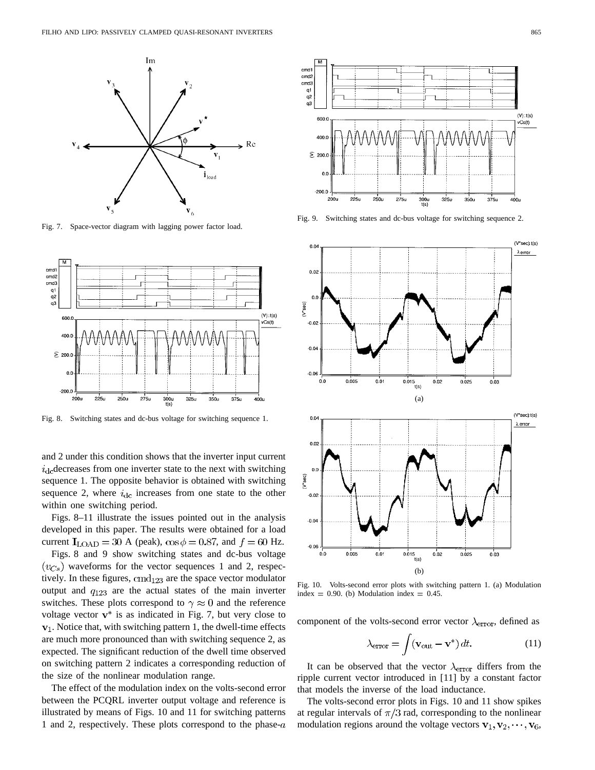

Fig. 7. Space-vector diagram with lagging power factor load.



Fig. 8. Switching states and dc-bus voltage for switching sequence 1.

and 2 under this condition shows that the inverter input current  $i_{\text{dc}}$  decreases from one inverter state to the next with switching sequence 1. The opposite behavior is obtained with switching sequence 2, where  $i_{\text{dc}}$  increases from one state to the other within one switching period.

Figs. 8–11 illustrate the issues pointed out in the analysis developed in this paper. The results were obtained for a load current  $I_{\text{LOAD}} = 30$  A (peak),  $\cos \phi = 0.87$ , and  $f = 60$  Hz.

Figs. 8 and 9 show switching states and dc-bus voltage  $(v<sub>Cs</sub>)$  waveforms for the vector sequences 1 and 2, respectively. In these figures,  $cmd<sub>123</sub>$  are the space vector modulator output and  $q_{123}$  are the actual states of the main inverter switches. These plots correspond to  $\gamma \approx 0$  and the reference voltage vector  $v^*$  is as indicated in Fig. 7, but very close to  $v_1$ . Notice that, with switching pattern 1, the dwell-time effects are much more pronounced than with switching sequence 2, as expected. The significant reduction of the dwell time observed on switching pattern 2 indicates a corresponding reduction of the size of the nonlinear modulation range.

The effect of the modulation index on the volts-second error between the PCQRL inverter output voltage and reference is illustrated by means of Figs. 10 and 11 for switching patterns 1 and 2, respectively. These plots correspond to the phase- $a$ 



Fig. 9. Switching states and dc-bus voltage for switching sequence 2.



Fig. 10. Volts-second error plots with switching pattern 1. (a) Modulation index =  $0.90$ . (b) Modulation index =  $0.45$ .

component of the volts-second error vector  $\lambda_{\text{error}}$ , defined as

$$
\lambda_{\rm error} = \int (\mathbf{v}_{\rm out} - \mathbf{v}^*) dt.
$$
 (11)

It can be observed that the vector  $\lambda_{\text{error}}$  differs from the ripple current vector introduced in [11] by a constant factor that models the inverse of the load inductance.

The volts-second error plots in Figs. 10 and 11 show spikes at regular intervals of  $\pi/3$  rad, corresponding to the nonlinear modulation regions around the voltage vectors  $\mathbf{v}_1, \mathbf{v}_2, \dots, \mathbf{v}_6$ ,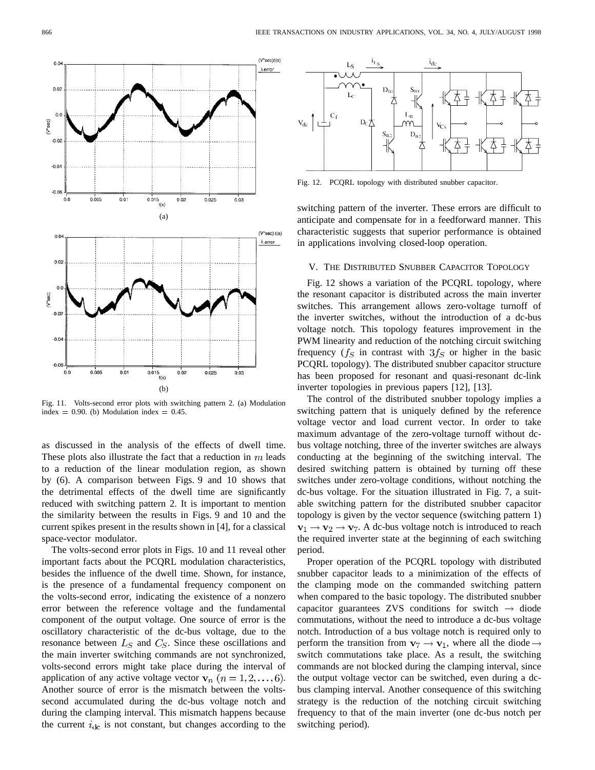

Fig. 11. Volts-second error plots with switching pattern 2. (a) Modulation index =  $0.90$ . (b) Modulation index =  $0.45$ .

as discussed in the analysis of the effects of dwell time. These plots also illustrate the fact that a reduction in  $m$  leads to a reduction of the linear modulation region, as shown by (6). A comparison between Figs. 9 and 10 shows that the detrimental effects of the dwell time are significantly reduced with switching pattern 2. It is important to mention the similarity between the results in Figs. 9 and 10 and the current spikes present in the results shown in [4], for a classical space-vector modulator.

The volts-second error plots in Figs. 10 and 11 reveal other important facts about the PCQRL modulation characteristics, besides the influence of the dwell time. Shown, for instance, is the presence of a fundamental frequency component on the volts-second error, indicating the existence of a nonzero error between the reference voltage and the fundamental component of the output voltage. One source of error is the oscillatory characteristic of the dc-bus voltage, due to the resonance between  $L<sub>S</sub>$  and  $C<sub>S</sub>$ . Since these oscillations and the main inverter switching commands are not synchronized, volts-second errors might take place during the interval of application of any active voltage vector  $v_n$   $(n = 1, 2, \dots, 6)$ . Another source of error is the mismatch between the voltssecond accumulated during the dc-bus voltage notch and during the clamping interval. This mismatch happens because the current  $i_{\text{dc}}$  is not constant, but changes according to the



Fig. 12. PCQRL topology with distributed snubber capacitor.

switching pattern of the inverter. These errors are difficult to anticipate and compensate for in a feedforward manner. This characteristic suggests that superior performance is obtained in applications involving closed-loop operation.

## V. THE DISTRIBUTED SNUBBER CAPACITOR TOPOLOGY

Fig. 12 shows a variation of the PCQRL topology, where the resonant capacitor is distributed across the main inverter switches. This arrangement allows zero-voltage turnoff of the inverter switches, without the introduction of a dc-bus voltage notch. This topology features improvement in the PWM linearity and reduction of the notching circuit switching frequency ( $f_S$  in contrast with  $3f_S$  or higher in the basic PCQRL topology). The distributed snubber capacitor structure has been proposed for resonant and quasi-resonant dc-link inverter topologies in previous papers [12], [13].

The control of the distributed snubber topology implies a switching pattern that is uniquely defined by the reference voltage vector and load current vector. In order to take maximum advantage of the zero-voltage turnoff without dcbus voltage notching, three of the inverter switches are always conducting at the beginning of the switching interval. The desired switching pattern is obtained by turning off these switches under zero-voltage conditions, without notching the dc-bus voltage. For the situation illustrated in Fig. 7, a suitable switching pattern for the distributed snubber capacitor topology is given by the vector sequence (switching pattern 1)  $v_1 \rightarrow v_2 \rightarrow v_7$ . A dc-bus voltage notch is introduced to reach the required inverter state at the beginning of each switching period.

Proper operation of the PCQRL topology with distributed snubber capacitor leads to a minimization of the effects of the clamping mode on the commanded switching pattern when compared to the basic topology. The distributed snubber capacitor guarantees ZVS conditions for switch  $\rightarrow$  diode commutations, without the need to introduce a dc-bus voltage notch. Introduction of a bus voltage notch is required only to perform the transition from  $v_7 \rightarrow v_1$ , where all the diode  $\rightarrow$ switch commutations take place. As a result, the switching commands are not blocked during the clamping interval, since the output voltage vector can be switched, even during a dcbus clamping interval. Another consequence of this switching strategy is the reduction of the notching circuit switching frequency to that of the main inverter (one dc-bus notch per switching period).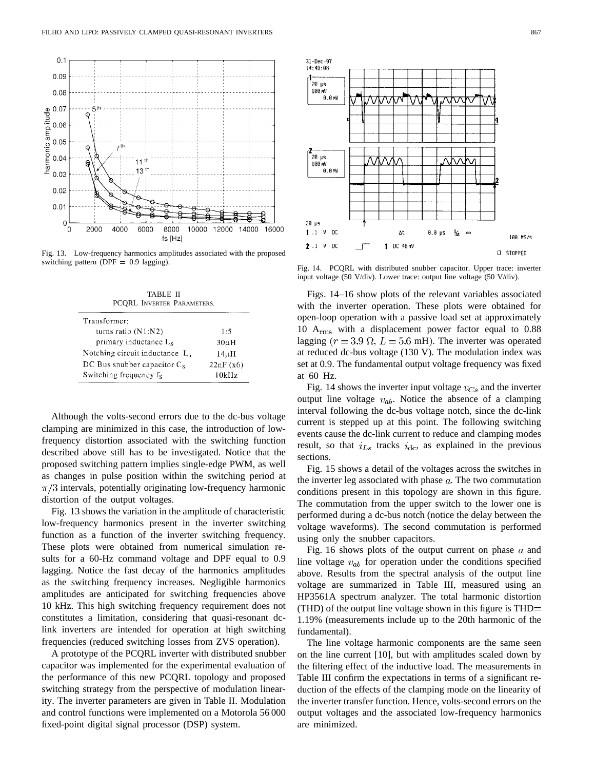

Fig. 13. Low-frequency harmonics amplitudes associated with the proposed switching pattern (DPF  $= 0.9$  lagging).

TABLE II PCQRL INVERTER PARAMETERS.

| Transformer:                      |           |
|-----------------------------------|-----------|
| turns ratio $(N1:N2)$             | 1.5       |
| primary inductance L <sub>s</sub> | $30\mu H$ |
| Notching circuit inductance $L_n$ | $14\mu H$ |
| DC Bus snubber capacitor $C_s$    | 22nF(x6)  |
| Switching frequency fs            | 10kHz     |

Although the volts-second errors due to the dc-bus voltage clamping are minimized in this case, the introduction of lowfrequency distortion associated with the switching function described above still has to be investigated. Notice that the proposed switching pattern implies single-edge PWM, as well as changes in pulse position within the switching period at  $\pi/3$  intervals, potentially originating low-frequency harmonic distortion of the output voltages.

Fig. 13 shows the variation in the amplitude of characteristic low-frequency harmonics present in the inverter switching function as a function of the inverter switching frequency. These plots were obtained from numerical simulation results for a 60-Hz command voltage and DPF equal to 0.9 lagging. Notice the fast decay of the harmonics amplitudes as the switching frequency increases. Negligible harmonics amplitudes are anticipated for switching frequencies above 10 kHz. This high switching frequency requirement does not constitutes a limitation, considering that quasi-resonant dclink inverters are intended for operation at high switching frequencies (reduced switching losses from ZVS operation).

A prototype of the PCQRL inverter with distributed snubber capacitor was implemented for the experimental evaluation of the performance of this new PCQRL topology and proposed switching strategy from the perspective of modulation linearity. The inverter parameters are given in Table II. Modulation and control functions were implemented on a Motorola 56 000 fixed-point digital signal processor (DSP) system.



Fig. 14. PCQRL with distributed snubber capacitor. Upper trace: inverter input voltage (50 V/div). Lower trace: output line voltage (50 V/div).

Figs. 14–16 show plots of the relevant variables associated with the inverter operation. These plots were obtained for open-loop operation with a passive load set at approximately 10  $A<sub>rms</sub>$  with a displacement power factor equal to 0.88 lagging ( $r = 3.9 \Omega$ ,  $L = 5.6 \text{ mH}$ ). The inverter was operated at reduced dc-bus voltage (130 V). The modulation index was set at 0.9. The fundamental output voltage frequency was fixed at 60 Hz.

Fig. 14 shows the inverter input voltage  $v_{Cs}$  and the inverter output line voltage  $v_{ab}$ . Notice the absence of a clamping interval following the dc-bus voltage notch, since the dc-link current is stepped up at this point. The following switching events cause the dc-link current to reduce and clamping modes result, so that  $i_{Ls}$  tracks  $i_{dc}$ , as explained in the previous sections.

Fig. 15 shows a detail of the voltages across the switches in the inverter leg associated with phase  $a$ . The two commutation conditions present in this topology are shown in this figure. The commutation from the upper switch to the lower one is performed during a dc-bus notch (notice the delay between the voltage waveforms). The second commutation is performed using only the snubber capacitors.

Fig. 16 shows plots of the output current on phase  $a$  and line voltage  $v_{ab}$  for operation under the conditions specified above. Results from the spectral analysis of the output line voltage are summarized in Table III, measured using an HP3561A spectrum analyzer. The total harmonic distortion (THD) of the output line voltage shown in this figure is THD 1.19% (measurements include up to the 20th harmonic of the fundamental).

The line voltage harmonic components are the same seen on the line current [10], but with amplitudes scaled down by the filtering effect of the inductive load. The measurements in Table III confirm the expectations in terms of a significant reduction of the effects of the clamping mode on the linearity of the inverter transfer function. Hence, volts-second errors on the output voltages and the associated low-frequency harmonics are minimized.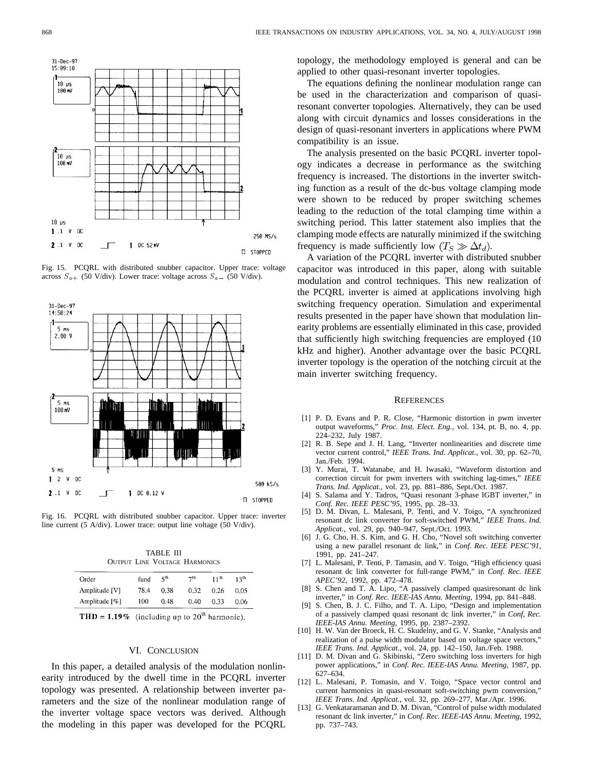

Fig. 15. PCQRL with distributed snubber capacitor. Upper trace: voltage Fig. 15. PCQRL with distributed snubber capacitor. Upper trace:<br>across  $S_{a+}$  (50 V/div). Lower trace: voltage across  $S_{a-}$  (50 V/div).



Fig. 16. PCQRL with distributed snubber capacitor. Upper trace: inverter line current (5 A/div). Lower trace: output line voltage (50 V/div).

TABLE III OUTPUT LINE VOLTAGE HARMONICS

| Order         | fund | ςth  | 7 <sup>th</sup> | $11^{th}$ | 13հ  |
|---------------|------|------|-----------------|-----------|------|
| Amplitude [V] | 78.4 | 0.38 | 0.32            | 0.26      | 0.05 |
| Amplitude [%] | 100  | 0.48 | 0.40            | 0.33      | 0.06 |

| <b>THD = 1.19%</b> (including up to $20^{\circ}$ harmonic) |  |
|------------------------------------------------------------|--|
|------------------------------------------------------------|--|

#### VI. CONCLUSION

In this paper, a detailed analysis of the modulation nonlinearity introduced by the dwell time in the PCQRL inverter topology was presented. A relationship between inverter parameters and the size of the nonlinear modulation range of the inverter voltage space vectors was derived. Although the modeling in this paper was developed for the PCQRL

topology, the methodology employed is general and can be applied to other quasi-resonant inverter topologies.

The equations defining the nonlinear modulation range can be used in the characterization and comparison of quasiresonant converter topologies. Alternatively, they can be used along with circuit dynamics and losses considerations in the design of quasi-resonant inverters in applications where PWM compatibility is an issue.

The analysis presented on the basic PCQRL inverter topology indicates a decrease in performance as the switching frequency is increased. The distortions in the inverter switching function as a result of the dc-bus voltage clamping mode were shown to be reduced by proper switching schemes leading to the reduction of the total clamping time within a switching period. This latter statement also implies that the clamping mode effects are naturally minimized if the switching frequency is made sufficiently low  $(T_S \gg \Delta t_d)$ .

A variation of the PCQRL inverter with distributed snubber capacitor was introduced in this paper, along with suitable modulation and control techniques. This new realization of the PCQRL inverter is aimed at applications involving high switching frequency operation. Simulation and experimental results presented in the paper have shown that modulation linearity problems are essentially eliminated in this case, provided that sufficiently high switching frequencies are employed (10 kHz and higher). Another advantage over the basic PCQRL inverter topology is the operation of the notching circuit at the main inverter switching frequency.

#### **REFERENCES**

- [1] P. D. Evans and P. R. Close, "Harmonic distortion in pwm inverter output waveforms," *Proc. Inst. Elect. Eng.*, vol. 134, pt. B, no. 4, pp. 224–232, July 1987.
- [2] R. B. Sepe and J. H. Lang, "Inverter nonlinearities and discrete time vector current control," *IEEE Trans. Ind. Applicat.*, vol. 30, pp. 62–70, Jan./Feb. 1994.
- [3] Y. Murai, T. Watanabe, and H. Iwasaki, "Waveform distortion and correction circuit for pwm inverters with switching lag-times," *IEEE Trans. Ind. Applicat.*, vol. 23, pp. 881–886, Sept./Oct. 1987.
- [4] S. Salama and Y. Tadros, "Quasi resonant 3-phase IGBT inverter," in *Conf. Rec. IEEE PESC'95*, 1995, pp. 28–33.
- [5] D. M. Divan, L. Malesani, P. Tenti, and V. Toigo, "A synchronized resonant dc link converter for soft-switched PWM," *IEEE Trans. Ind. Applicat.*, vol. 29, pp. 940–947, Sept./Oct. 1993.
- [6] J. G. Cho, H. S. Kim, and G. H. Cho, "Novel soft switching converter using a new parallel resonant dc link," in *Conf. Rec. IEEE PESC'91*, 1991, pp. 241–247.
- [7] L. Malesani, P. Tenti, P. Tamasin, and V. Toigo, "High efficiency quasi resonant dc link converter for full-range PWM," in *Conf. Rec. IEEE APEC'92*, 1992, pp. 472–478.
- [8] S. Chen and T. A. Lipo, "A passively clamped quasiresonant dc link inverter," in *Conf. Rec. IEEE-IAS Annu. Meeting*, 1994, pp. 841–848.
- [9] S. Chen, B. J. C. Filho, and T. A. Lipo, "Design and implementation of a passively clamped quasi resonant dc link inverter," in *Conf, Rec. IEEE-IAS Annu. Meeting*, 1995, pp. 2387–2392.
- [10] H. W. Van der Broeck, H. C. Skudelny, and G. V. Stanke, "Analysis and realization of a pulse width modulator based on voltage space vectors," *IEEE Trans. Ind. Applicat.*, vol. 24, pp. 142–150, Jan./Feb. 1988.
- [11] D. M. Divan and G. Skibinski, "Zero switching loss inverters for high power applications," in *Conf. Rec. IEEE-IAS Annu. Meeting*, 1987, pp. 627–634.
- [12] L. Malesani, P. Tomasin, and V. Toigo, "Space vector control and current harmonics in quasi-resonant soft-switching pwm conversion," *IEEE Trans. Ind. Applicat.*, vol. 32, pp. 269–277, Mar./Apr. 1996.
- [13] G. Venkataramanan and D. M. Divan, "Control of pulse width modulated resonant dc link inverter," in *Conf. Rec. IEEE-IAS Annu. Meeting*, 1992, pp. 737–743.